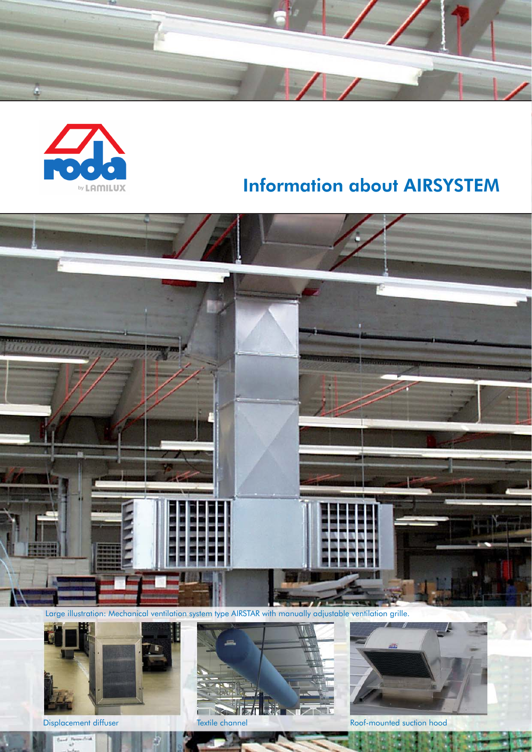



# Information about AIRSYSTEM



Large illustration: Mechanical ventilation system type AIRSTAR with manually adjustable ventilation grille.



 $\overline{\mathcal{L}}$ 





Displacement diffuser Textile channel Roof-mounted suction hood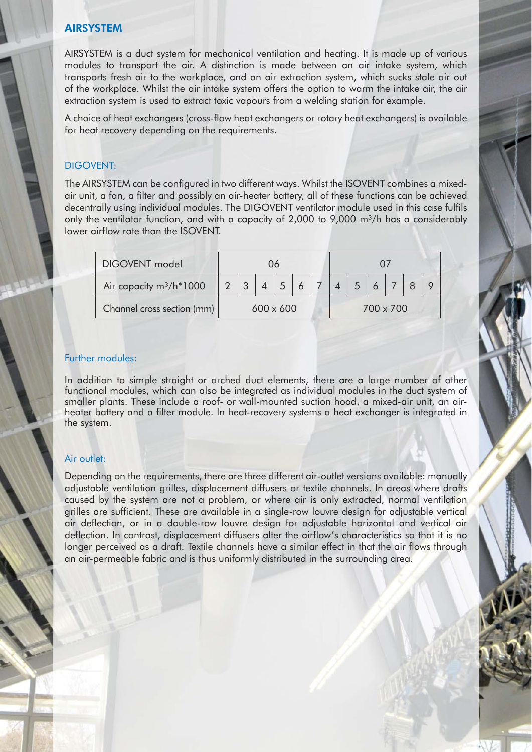#### AIRSYSTEM

AIRSYSTEM is a duct system for mechanical ventilation and heating. It is made up of various modules to transport the air. A distinction is made between an air intake system, which transports fresh air to the workplace, and an air extraction system, which sucks stale air out of the workplace. Whilst the air intake system offers the option to warm the intake air, the air extraction system is used to extract toxic vapours from a welding station for example.

A choice of heat exchangers (cross-flow heat exchangers or rotary heat exchangers) is available for heat recovery depending on the requirements.

#### DIGOVENT:

The AIRSYSTEM can be configured in two different ways. Whilst the ISOVENT combines a mixedair unit, a fan, a filter and possibly an air-heater battery, all of these functions can be achieved decentrally using individual modules. The DIGOVENT ventilator module used in this case fulfils only the ventilator function, and with a capacity of 2,000 to 9,000 m<sup>3</sup>/h has a considerably lower airflow rate than the ISOVENT.

| DIGOVENT model                                   | 06               |  |  |  |  |  |           |   |  |  |  |  |
|--------------------------------------------------|------------------|--|--|--|--|--|-----------|---|--|--|--|--|
| Air capacity m <sup>3</sup> /h <sup>*</sup> 1000 |                  |  |  |  |  |  |           | 5 |  |  |  |  |
| Channel cross section (mm)                       | $600 \times 600$ |  |  |  |  |  | 700 x 700 |   |  |  |  |  |

#### Further modules:

In addition to simple straight or arched duct elements, there are a large number of other functional modules, which can also be integrated as individual modules in the duct system of smaller plants. These include a roof- or wall-mounted suction hood, a mixed-air unit, an airheater battery and a filter module. In heat-recovery systems a heat exchanger is integrated in the system.

#### Air outlet:

Depending on the requirements, there are three different air-outlet versions available: manually adjustable ventilation grilles, displacement diffusers or textile channels. In areas where drafts caused by the system are not a problem, or where air is only extracted, normal ventilation grilles are sufficient. These are available in a single-row louvre design for adjustable vertical air deflection, or in a double-row louvre design for adjustable horizontal and vertical air deflection. In contrast, displacement diffusers alter the airflow's characteristics so that it is no longer perceived as a draft. Textile channels have a similar effect in that the air flows through an air-permeable fabric and is thus uniformly distributed in the surrounding area.